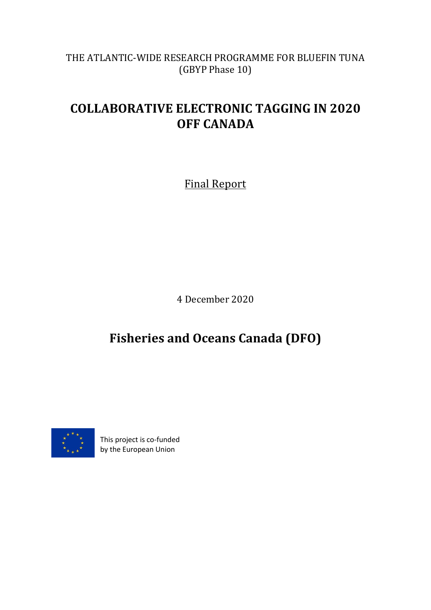THE ATLANTIC-WIDE RESEARCH PROGRAMME FOR BLUEFIN TUNA (GBYP Phase 10)

# **COLLABORATIVE ELECTRONIC TAGGING IN 2020 OFF CANADA**

Final Report

4 December 2020

**Fisheries and Oceans Canada (DFO)**



This project is co-funded by the European Union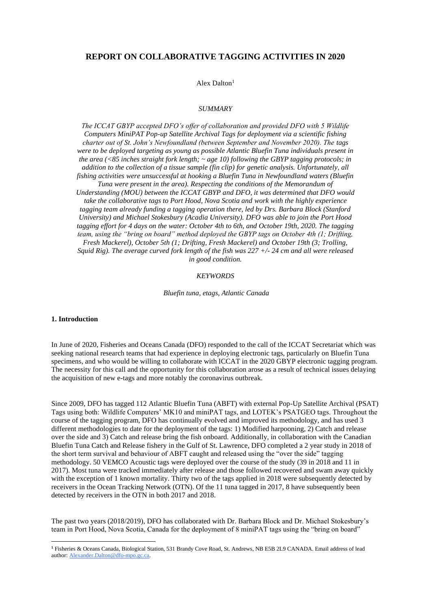# **REPORT ON COLLABORATIVE TAGGING ACTIVITIES IN 2020**

Alex Dalton<sup>1</sup>

#### *SUMMARY*

*The ICCAT GBYP accepted DFO's offer of collaboration and provided DFO with 5 Wildlife Computers MiniPAT Pop-up Satellite Archival Tags for deployment via a scientific fishing charter out of St. John's Newfoundland (between September and November 2020). The tags were to be deployed targeting as young as possible Atlantic Bluefin Tuna individuals present in the area (<85 inches straight fork length; ~ age 10) following the GBYP tagging protocols; in addition to the collection of a tissue sample (fin clip) for genetic analysis. Unfortunately, all fishing activities were unsuccessful at hooking a Bluefin Tuna in Newfoundland waters (Bluefin Tuna were present in the area). Respecting the conditions of the Memorandum of Understanding (MOU) between the ICCAT GBYP and DFO, it was determined that DFO would take the collaborative tags to Port Hood, Nova Scotia and work with the highly experience tagging team already funding a tagging operation there, led by Drs. Barbara Block (Stanford University) and Michael Stokesbury (Acadia University). DFO was able to join the Port Hood tagging effort for 4 days on the water: October 4th to 6th, and October 19th, 2020. The tagging team, using the "bring on board" method deployed the GBYP tags on October 4th (1; Drifting, Fresh Mackerel), October 5th (1; Drifting, Fresh Mackerel) and October 19th (3; Trolling, Squid Rig). The average curved fork length of the fish was 227 +/- 24 cm and all were released in good condition.*

#### *KEYWORDS*

*Bluefin tuna, etags, Atlantic Canada*

#### **1. Introduction**

In June of 2020, Fisheries and Oceans Canada (DFO) responded to the call of the ICCAT Secretariat which was seeking national research teams that had experience in deploying electronic tags, particularly on Bluefin Tuna specimens, and who would be willing to collaborate with ICCAT in the 2020 GBYP electronic tagging program. The necessity for this call and the opportunity for this collaboration arose as a result of technical issues delaying the acquisition of new e-tags and more notably the coronavirus outbreak.

Since 2009, DFO has tagged 112 Atlantic Bluefin Tuna (ABFT) with external Pop-Up Satellite Archival (PSAT) Tags using both: Wildlife Computers' MK10 and miniPAT tags, and LOTEK's PSATGEO tags. Throughout the course of the tagging program, DFO has continually evolved and improved its methodology, and has used 3 different methodologies to date for the deployment of the tags: 1) Modified harpooning, 2) Catch and release over the side and 3) Catch and release bring the fish onboard. Additionally, in collaboration with the Canadian Bluefin Tuna Catch and Release fishery in the Gulf of St. Lawrence, DFO completed a 2 year study in 2018 of the short term survival and behaviour of ABFT caught and released using the "over the side" tagging methodology. 50 VEMCO Acoustic tags were deployed over the course of the study (39 in 2018 and 11 in 2017). Most tuna were tracked immediately after release and those followed recovered and swam away quickly with the exception of 1 known mortality. Thirty two of the tags applied in 2018 were subsequently detected by receivers in the Ocean Tracking Network (OTN). Of the 11 tuna tagged in 2017, 8 have subsequently been detected by receivers in the OTN in both 2017 and 2018.

The past two years (2018/2019), DFO has collaborated with Dr. Barbara Block and Dr. Michael Stokesbury's team in Port Hood, Nova Scotia, Canada for the deployment of 8 miniPAT tags using the "bring on board"

**<sup>1</sup>** Fisheries & Oceans Canada, Biological Station, 531 Brandy Cove Road, St. Andrews, NB E5B 2L9 CANADA. Email address of lead author: Alexander.Dalton@dfo-mpo.gc.ca.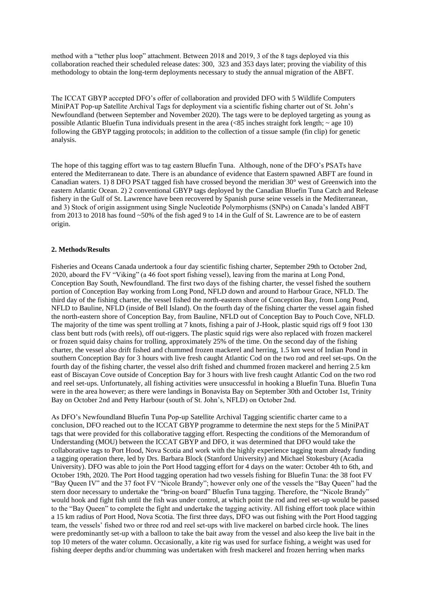method with a "tether plus loop" attachment. Between 2018 and 2019, 3 of the 8 tags deployed via this collaboration reached their scheduled release dates: 300, 323 and 353 days later; proving the viability of this methodology to obtain the long-term deployments necessary to study the annual migration of the ABFT.

The ICCAT GBYP accepted DFO's offer of collaboration and provided DFO with 5 Wildlife Computers MiniPAT Pop-up Satellite Archival Tags for deployment via a scientific fishing charter out of St. John's Newfoundland (between September and November 2020). The tags were to be deployed targeting as young as possible Atlantic Bluefin Tuna individuals present in the area  $\langle 85 \rangle$  inches straight fork length;  $\sim$  age 10) following the GBYP tagging protocols; in addition to the collection of a tissue sample (fin clip) for genetic analysis.

The hope of this tagging effort was to tag eastern Bluefin Tuna. Although, none of the DFO's PSATs have entered the Mediterranean to date. There is an abundance of evidence that Eastern spawned ABFT are found in Canadian waters. 1) 8 DFO PSAT tagged fish have crossed beyond the meridian 30° west of Greenwich into the eastern Atlantic Ocean. 2) 2 conventional GBYP tags deployed by the Canadian Bluefin Tuna Catch and Release fishery in the Gulf of St. Lawrence have been recovered by Spanish purse seine vessels in the Mediterranean, and 3) Stock of origin assignment using Single Nucleotide Polymorphisms (SNPs) on Canada's landed ABFT from 2013 to 2018 has found ~50% of the fish aged 9 to 14 in the Gulf of St. Lawrence are to be of eastern origin.

## **2. Methods/Results**

Fisheries and Oceans Canada undertook a four day scientific fishing charter, September 29th to October 2nd, 2020, aboard the FV "Viking" (a 46 foot sport fishing vessel), leaving from the marina at Long Pond, Conception Bay South, Newfoundland. The first two days of the fishing charter, the vessel fished the southern portion of Conception Bay working from Long Pond, NFLD down and around to Harbour Grace, NFLD. The third day of the fishing charter, the vessel fished the north-eastern shore of Conception Bay, from Long Pond, NFLD to Bauline, NFLD (inside of Bell Island). On the fourth day of the fishing charter the vessel again fished the north-eastern shore of Conception Bay, from Bauline, NFLD out of Conception Bay to Pouch Cove, NFLD. The majority of the time was spent trolling at 7 knots, fishing a pair of J-Hook, plastic squid rigs off 9 foot 130 class bent butt rods (with reels), off out-riggers. The plastic squid rigs were also replaced with frozen mackerel or frozen squid daisy chains for trolling, approximately 25% of the time. On the second day of the fishing charter, the vessel also drift fished and chummed frozen mackerel and herring, 1.5 km west of Indian Pond in southern Conception Bay for 3 hours with live fresh caught Atlantic Cod on the two rod and reel set-ups. On the fourth day of the fishing charter, the vessel also drift fished and chummed frozen mackerel and herring 2.5 km east of Biscayan Cove outside of Conception Bay for 3 hours with live fresh caught Atlantic Cod on the two rod and reel set-ups. Unfortunately, all fishing activities were unsuccessful in hooking a Bluefin Tuna. Bluefin Tuna were in the area however; as there were landings in Bonavista Bay on September 30th and October 1st, Trinity Bay on October 2nd and Petty Harbour (south of St. John's, NFLD) on October 2nd.

As DFO's Newfoundland Bluefin Tuna Pop-up Satellite Archival Tagging scientific charter came to a conclusion, DFO reached out to the ICCAT GBYP programme to determine the next steps for the 5 MiniPAT tags that were provided for this collaborative tagging effort. Respecting the conditions of the Memorandum of Understanding (MOU) between the ICCAT GBYP and DFO, it was determined that DFO would take the collaborative tags to Port Hood, Nova Scotia and work with the highly experience tagging team already funding a tagging operation there, led by Drs. Barbara Block (Stanford University) and Michael Stokesbury (Acadia University). DFO was able to join the Port Hood tagging effort for 4 days on the water: October 4th to 6th, and October 19th, 2020. The Port Hood tagging operation had two vessels fishing for Bluefin Tuna: the 38 foot FV "Bay Queen IV" and the 37 foot FV "Nicole Brandy"; however only one of the vessels the "Bay Queen" had the stern door necessary to undertake the "bring-on board" Bluefin Tuna tagging. Therefore, the "Nicole Brandy" would hook and fight fish until the fish was under control, at which point the rod and reel set-up would be passed to the "Bay Queen" to complete the fight and undertake the tagging activity. All fishing effort took place within a 15 km radius of Port Hood, Nova Scotia. The first three days, DFO was out fishing with the Port Hood tagging team, the vessels' fished two or three rod and reel set-ups with live mackerel on barbed circle hook. The lines were predominantly set-up with a balloon to take the bait away from the vessel and also keep the live bait in the top 10 meters of the water column. Occasionally, a kite rig was used for surface fishing, a weight was used for fishing deeper depths and/or chumming was undertaken with fresh mackerel and frozen herring when marks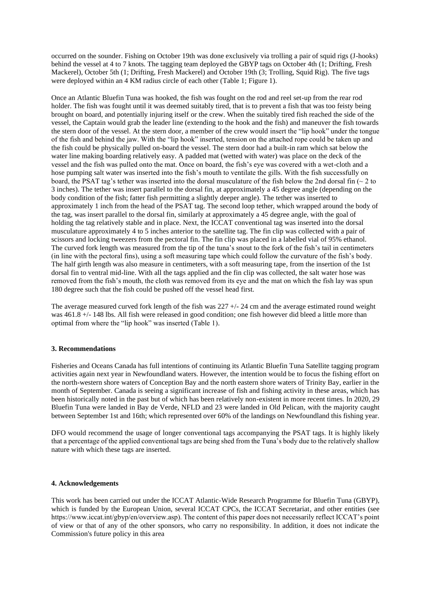occurred on the sounder. Fishing on October 19th was done exclusively via trolling a pair of squid rigs (J-hooks) behind the vessel at 4 to 7 knots. The tagging team deployed the GBYP tags on October 4th (1; Drifting, Fresh Mackerel), October 5th (1; Drifting, Fresh Mackerel) and October 19th (3; Trolling, Squid Rig). The five tags were deployed within an 4 KM radius circle of each other (Table 1; Figure 1).

Once an Atlantic Bluefin Tuna was hooked, the fish was fought on the rod and reel set-up from the rear rod holder. The fish was fought until it was deemed suitably tired, that is to prevent a fish that was too feisty being brought on board, and potentially injuring itself or the crew. When the suitably tired fish reached the side of the vessel, the Captain would grab the leader line (extending to the hook and the fish) and maneuver the fish towards the stern door of the vessel. At the stern door, a member of the crew would insert the "lip hook" under the tongue of the fish and behind the jaw. With the "lip hook" inserted, tension on the attached rope could be taken up and the fish could be physically pulled on-board the vessel. The stern door had a built-in ram which sat below the water line making boarding relatively easy. A padded mat (wetted with water) was place on the deck of the vessel and the fish was pulled onto the mat. Once on board, the fish's eye was covered with a wet-cloth and a hose pumping salt water was inserted into the fish's mouth to ventilate the gills. With the fish successfully on board, the PSAT tag's tether was inserted into the dorsal musculature of the fish below the 2nd dorsal fin  $\sim$  2 to 3 inches). The tether was insert parallel to the dorsal fin, at approximately a 45 degree angle (depending on the body condition of the fish; fatter fish permitting a slightly deeper angle). The tether was inserted to approximately 1 inch from the head of the PSAT tag. The second loop tether, which wrapped around the body of the tag, was insert parallel to the dorsal fin, similarly at approximately a 45 degree angle, with the goal of holding the tag relatively stable and in place. Next, the ICCAT conventional tag was inserted into the dorsal musculature approximately 4 to 5 inches anterior to the satellite tag. The fin clip was collected with a pair of scissors and locking tweezers from the pectoral fin. The fin clip was placed in a labelled vial of 95% ethanol. The curved fork length was measured from the tip of the tuna's snout to the fork of the fish's tail in centimeters (in line with the pectoral fins), using a soft measuring tape which could follow the curvature of the fish's body. The half girth length was also measure in centimeters, with a soft measuring tape, from the insertion of the 1st dorsal fin to ventral mid-line. With all the tags applied and the fin clip was collected, the salt water hose was removed from the fish's mouth, the cloth was removed from its eye and the mat on which the fish lay was spun 180 degree such that the fish could be pushed off the vessel head first.

The average measured curved fork length of the fish was  $227 +1/24$  cm and the average estimated round weight was 461.8 +/- 148 lbs. All fish were released in good condition; one fish however did bleed a little more than optimal from where the "lip hook" was inserted (Table 1).

## **3. Recommendations**

Fisheries and Oceans Canada has full intentions of continuing its Atlantic Bluefin Tuna Satellite tagging program activities again next year in Newfoundland waters. However, the intention would be to focus the fishing effort on the north-western shore waters of Conception Bay and the north eastern shore waters of Trinity Bay, earlier in the month of September. Canada is seeing a significant increase of fish and fishing activity in these areas, which has been historically noted in the past but of which has been relatively non-existent in more recent times. In 2020, 29 Bluefin Tuna were landed in Bay de Verde, NFLD and 23 were landed in Old Pelican, with the majority caught between September 1st and 16th; which represented over 60% of the landings on Newfoundland this fishing year.

DFO would recommend the usage of longer conventional tags accompanying the PSAT tags. It is highly likely that a percentage of the applied conventional tags are being shed from the Tuna's body due to the relatively shallow nature with which these tags are inserted.

### **4. Acknowledgements**

This work has been carried out under the ICCAT Atlantic-Wide Research Programme for Bluefin Tuna (GBYP), which is funded by the European Union, several ICCAT CPCs, the ICCAT Secretariat, and other entities (see https://www.iccat.int/gbyp/en/overview.asp). The content of this paper does not necessarily reflect ICCAT's point of view or that of any of the other sponsors, who carry no responsibility. In addition, it does not indicate the Commission's future policy in this area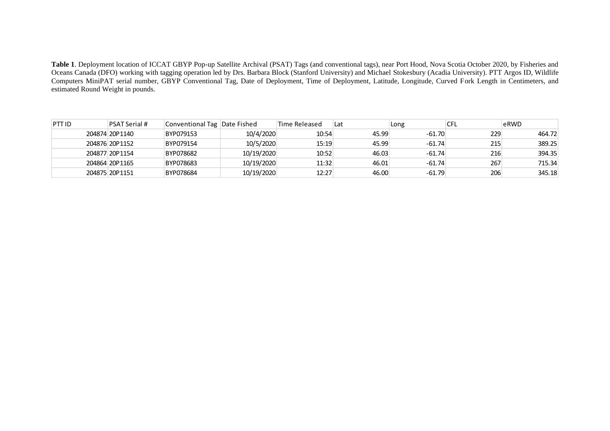**Table 1**. Deployment location of ICCAT GBYP Pop-up Satellite Archival (PSAT) Tags (and conventional tags), near Port Hood, Nova Scotia October 2020, by Fisheries and Oceans Canada (DFO) working with tagging operation led by Drs. Barbara Block (Stanford University) and Michael Stokesbury (Acadia University). PTT Argos ID, Wildlife Computers MiniPAT serial number, GBYP Conventional Tag, Date of Deployment, Time of Deployment, Latitude, Longitude, Curved Fork Length in Centimeters, and estimated Round Weight in pounds.

| PTT ID | <b>PSAT Serial #</b> | Conventional Tag   Date Fished |            | Time Released | Lat   | Long     | CFL | eRWD   |
|--------|----------------------|--------------------------------|------------|---------------|-------|----------|-----|--------|
|        | 204874 20P1140       | BYP079153                      | 10/4/2020  | 10:54         | 45.99 | $-61.70$ | 229 | 464.72 |
|        | 204876 20P1152       | BYP079154                      | 10/5/2020  | 15:19         | 45.99 | $-61.74$ | 215 | 389.25 |
|        | 204877 20P1154       | BYP078682                      | 10/19/2020 | 10:52         | 46.03 | $-61.74$ | 216 | 394.35 |
|        | 204864 20P1165       | BYP078683                      | 10/19/2020 | 11:32         | 46.01 | $-61.74$ | 267 | 715.34 |
|        | 204875 20P1151       | BYP078684                      | 10/19/2020 | 12:27         | 46.00 | $-61.79$ | 206 | 345.18 |